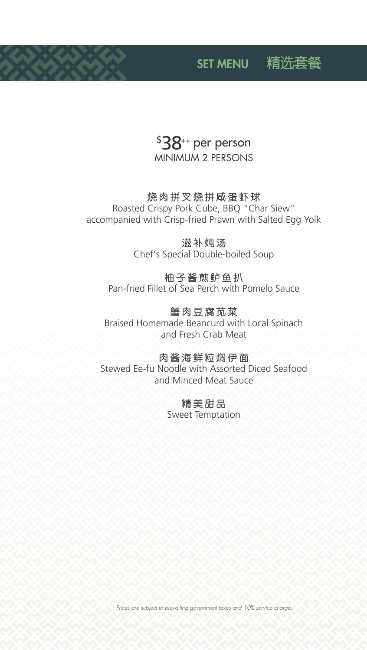## $$38$ <sup>++</sup> per person **MINIMUM 2 PERSONS**

### 烧肉拼叉烧拼咸蛋虾球

Roasted Crispy Pork Cube, BBQ "Char Siew" accompanied with Crisp-fried Prawn with Salted Egg Yolk

> 滋补炖汤 Chef's Special Double-boiled Soup

### 柚子酱煎鲈鱼扒 Pan-fried Fillet of Sea Perch with Pomelo Sauce

蟹肉豆腐苋菜 Braised Homemade Beancurd with Local Spinach and Fresh Crab Meat

肉酱海鲜粒焖伊面 Stewed Ee-fu Noodle with Assorted Diced Seafood and Minced Meat Sauce

> 精美甜品 **Sweet Temptation**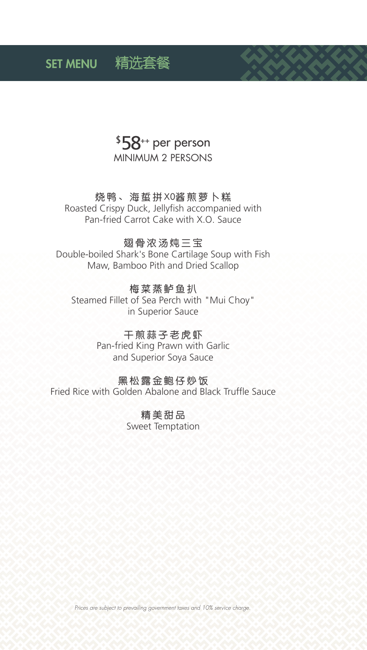## $$58$ <sup>++</sup> per person **MINIMUM 2 PERSONS**

### 烧鸭、海蜇拼X0酱煎萝卜糕

Roasted Crispy Duck, Jellyfish accompanied with Pan-fried Carrot Cake with X.O. Sauce

#### 翅骨浓汤炖三宝

Double-boiled Shark's Bone Cartilage Soup with Fish Maw, Bamboo Pith and Dried Scallop

### 梅菜蒸鲈鱼扒

Steamed Fillet of Sea Perch with "Mui Choy" in Superior Sauce

> 干煎蒜子老虎虾 Pan-fried King Prawn with Garlic and Superior Soya Sauce

### 黑松露金鲍仔炒饭 Fried Rice with Golden Abalone and Black Truffle Sauce

精美甜品 **Sweet Temptation** 

Prices are subject to prevailing government taxes and 10% service charge.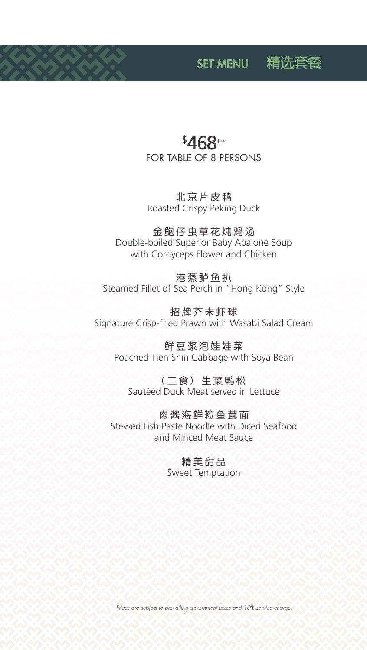## \$ 468++ FOR TABLE OF 8 PERSONS

北京片皮鸭 Roasted Crispy Peking Duck

金鲍仔虫草花炖鸡汤 Double-boiled Superior Baby Abalone Soup with Cordyceps Flower and Chicken

港蒸鲈鱼扒 Steamed Fillet of Sea Perch in "Hong Kong" Style

招牌芥末虾球 Signature Crisp-fried Prawn with Wasabi Salad Cream

鲜豆浆泡娃娃菜 Poached Tien Shin Cabbage with Soya Bean

(二食) 生菜鸭松 Sautéed Duck Meat served in Lettuce

肉酱海鲜粒鱼茸面 Stewed Fish Paste Noodle with Diced Seafood and Minced Meat Sauce

> 精美甜品 Sweet Temptation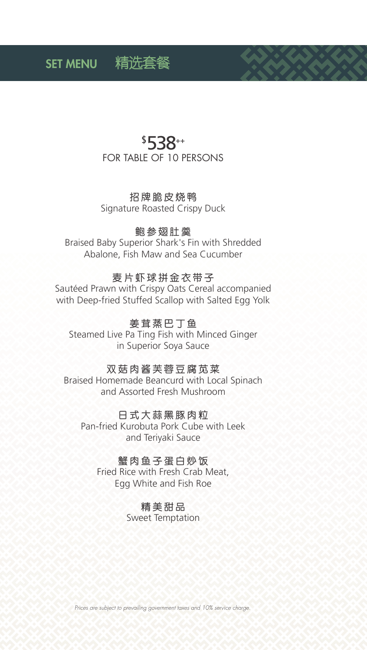## \$538++ **FOR TABLE OF 10 PERSONS**

招牌脆皮烧鸭 Signature Roasted Crispy Duck

#### 鲍参翅肚羹

Braised Baby Superior Shark's Fin with Shredded Abalone, Fish Maw and Sea Cucumber

#### 麦片虾球拼金衣带子

Sautéed Prawn with Crispy Oats Cereal accompanied with Deep-fried Stuffed Scallop with Salted Egg Yolk

## 姜茸蒸巴丁鱼

Steamed Live Pa Ting Fish with Minced Ginger in Superior Soya Sauce

#### 双菇肉酱芙蓉豆腐苋菜

Braised Homemade Beancurd with Local Spinach and Assorted Fresh Mushroom

#### 日式大蒜黑豚肉粒

Pan-fried Kurobuta Pork Cube with Leek and Teriyaki Sauce

#### 蟹肉鱼子蛋白炒饭

Fried Rice with Fresh Crab Meat, Egg White and Fish Roe

#### 精美甜品

**Sweet Temptation**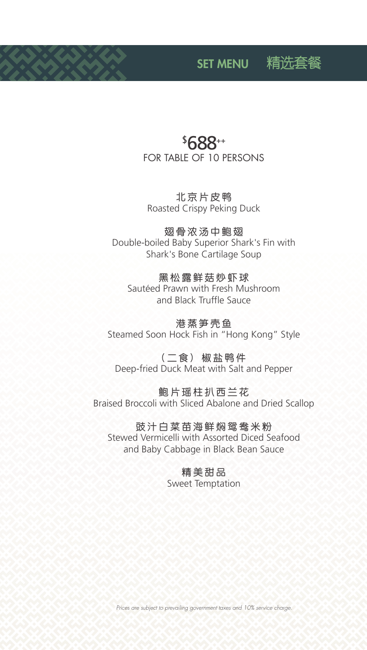## \$ 688++ FOR TABLE OF 10 PERSONS

北京片皮鸭 Roasted Crispy Peking Duck

翅骨浓汤中鲍翅 Double-boiled Baby Superior Shark's Fin with Shark's Bone Cartilage Soup

黑松露鲜菇炒虾球 Sautéed Prawn with Fresh Mushroom and Black Truffle Sauce

港蒸笋壳鱼 Steamed Soon Hock Fish in "Hong Kong" Style

(二食) 椒盐鸭件 Deep-fried Duck Meat with Salt and Pepper

鲍片瑶柱扒西兰花 Braised Broccoli with Sliced Abalone and Dried Scallop

豉汁白菜苗海鲜焖鸳鸯米粉 Stewed Vermicelli with Assorted Diced Seafood and Baby Cabbage in Black Bean Sauce

> 精美甜品 Sweet Temptation

*Prices are subject to prevailing government taxes and 10% service charge.*